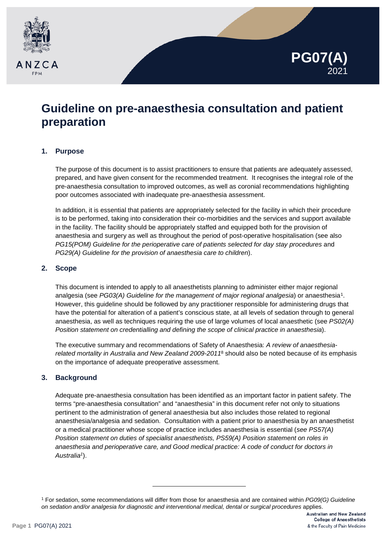



# **Guideline on pre-anaesthesia consultation and patient preparation**

## **1. Purpose**

The purpose of this document is to assist practitioners to ensure that patients are adequately assessed, prepared, and have given consent for the recommended treatment. It recognises the integral role of the pre-anaesthesia consultation to improved outcomes, as well as coronial recommendations highlighting poor outcomes associated with inadequate pre-anaesthesia assessment.

In addition, it is essential that patients are appropriately selected for the facility in which their procedure is to be performed, taking into consideration their co-morbidities and the services and support available in the facility. The facility should be appropriately staffed and equipped both for the provision of anaesthesia and surgery as well as throughout the period of post-operative hospitalisation (see also *PG15(POM) Guideline for the perioperative care of patients selected for day stay procedures* and *PG29(A) Guideline for the provision of anaesthesia care to children*).

# **2. Scope**

This document is intended to apply to all anaesthetists planning to administer either major regional analgesia (see *PG03(A) Guideline for the management of major regional analgesia*) or anaesthesia[1.](#page-0-0) However, this guideline should be followed by any practitioner responsible for administering drugs that have the potential for alteration of a patient's conscious state, at all levels of sedation through to general anaesthesia, as well as techniques requiring the use of large volumes of local anaesthetic (see *PS02(A) Position statement on credentialling and defining the scope of clinical practice in anaesthesia*).

The executive summary and recommendations of Safety of Anaesthesia: *A review of anaesthesiarelated mortality in Australia and New Zealand 2009-2011*<sup>8</sup> should also be noted because of its emphasis on the importance of adequate preoperative assessment.

## **3. Background**

Adequate pre-anaesthesia consultation has been identified as an important factor in patient safety. The terms "pre-anaesthesia consultation" and "anaesthesia" in this document refer not only to situations pertinent to the administration of general anaesthesia but also includes those related to regional anaesthesia/analgesia and sedation. Consultation with a patient prior to anaesthesia by an anaesthetist or a medical practitioner whose scope of practice includes anaesthesia is essential (*see PS57(A) Position statement on duties of specialist anaesthetists, PS59(A) Position statement on roles in anaesthesia and perioperative care, and Good medical practice: A code of conduct for doctors in Australia1*).

-

<span id="page-0-0"></span><sup>1</sup> For sedation, some recommendations will differ from those for anaesthesia and are contained within *PG09(G) Guideline on sedation and/or analgesia for diagnostic and interventional medical, dental or surgical procedures* applies.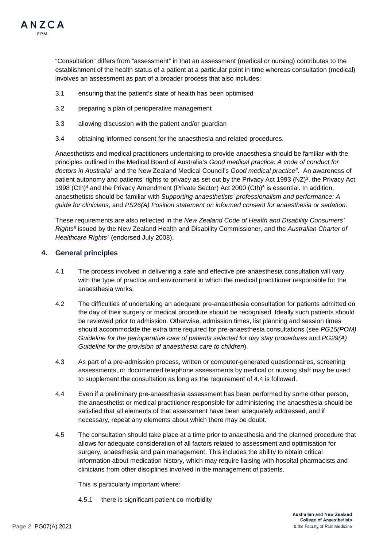

"Consultation" differs from "assessment" in that an assessment (medical or nursing) contributes to the establishment of the health status of a patient at a particular point in time whereas consultation (medical) involves an assessment as part of a broader process that also includes:

- 3.1 ensuring that the patient's state of health has been optimised
- 3.2 preparing a plan of perioperative management
- 3.3 allowing discussion with the patient and/or guardian
- 3.4 obtaining informed consent for the anaesthesia and related procedures.

Anaesthetists and medical practitioners undertaking to provide anaesthesia should be familiar with the principles outlined in the Medical Board of Australia's *Good medical practice: A code of conduct for doctors in Australia1* and the New Zealand Medical Council's *Good medical practice2*. An awareness of patient autonomy and patients' rights to privacy as set out by the Privacy Act 1993 (NZ)3, the Privacy Act 1998 (Cth)<sup>4</sup> and the Privacy Amendment (Private Sector) Act 2000 (Cth)<sup>5</sup> is essential. In addition, anaesthetists should be familiar with *Supporting anaesthetists' professionalism and performance: A guide for clinicians*, and *PS26(A) Position statement on informed consent for anaesthesia or sedation*.

These requirements are also reflected in the *New Zealand Code of Health and Disability Consumers' Rights6* issued by the New Zealand Health and Disability Commissioner, and the *Australian Charter of Healthcare Rights*<sup>7</sup> (endorsed July 2008).

## **4. General principles**

- 4.1 The process involved in delivering a safe and effective pre-anaesthesia consultation will vary with the type of practice and environment in which the medical practitioner responsible for the anaesthesia works.
- 4.2 The difficulties of undertaking an adequate pre-anaesthesia consultation for patients admitted on the day of their surgery or medical procedure should be recognised. Ideally such patients should be reviewed prior to admission. Otherwise, admission times, list planning and session times should accommodate the extra time required for pre-anaesthesia consultations (see *PG15(POM) Guideline for the perioperative care of patients selected for day stay procedures* and *PG29(A) Guideline for the provision of anaesthesia care to children*).
- 4.3 As part of a pre-admission process, written or computer-generated questionnaires, screening assessments, or documented telephone assessments by medical or nursing staff may be used to supplement the consultation as long as the requirement of 4.4 is followed.
- 4.4 Even if a preliminary pre-anaesthesia assessment has been performed by some other person, the anaesthetist or medical practitioner responsible for administering the anaesthesia should be satisfied that all elements of that assessment have been adequately addressed, and if necessary, repeat any elements about which there may be doubt.
- 4.5 The consultation should take place at a time prior to anaesthesia and the planned procedure that allows for adequate consideration of all factors related to assessment and optimisation for surgery, anaesthesia and pain management. This includes the ability to obtain critical information about medication history, which may require liaising with hospital pharmacists and clinicians from other disciplines involved in the management of patients.

This is particularly important where:

4.5.1 there is significant patient co-morbidity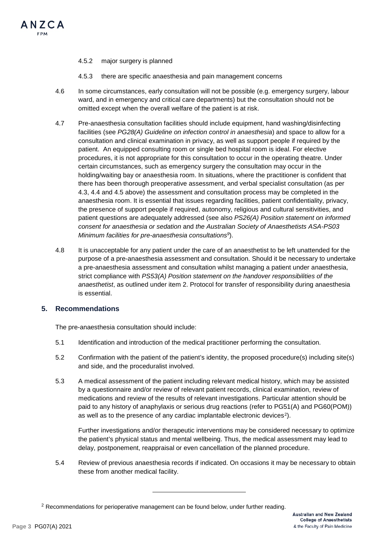

#### 4.5.2 major surgery is planned

- 4.5.3 there are specific anaesthesia and pain management concerns
- 4.6 In some circumstances, early consultation will not be possible (e.g. emergency surgery, labour ward, and in emergency and critical care departments) but the consultation should not be omitted except when the overall welfare of the patient is at risk.
- 4.7 Pre-anaesthesia consultation facilities should include equipment, hand washing/disinfecting facilities (see *PG28(A) Guideline on infection control in anaesthesia*) and space to allow for a consultation and clinical examination in privacy, as well as support people if required by the patient. An equipped consulting room or single bed hospital room is ideal. For elective procedures, it is not appropriate for this consultation to occur in the operating theatre. Under certain circumstances, such as emergency surgery the consultation may occur in the holding/waiting bay or anaesthesia room. In situations, where the practitioner is confident that there has been thorough preoperative assessment, and verbal specialist consultation (as per 4.3, 4.4 and 4.5 above) the assessment and consultation process may be completed in the anaesthesia room. It is essential that issues regarding facilities, patient confidentiality, privacy, the presence of support people if required, autonomy, religious and cultural sensitivities, and patient questions are adequately addressed (see also *PS26(A) Position statement on informed consent for anaesthesia or sedation* and *the Australian Society of Anaesthetists ASA-PS03 Minimum facilities for pre-anaesthesia consultations9*).
- 4.8 It is unacceptable for any patient under the care of an anaesthetist to be left unattended for the purpose of a pre-anaesthesia assessment and consultation. Should it be necessary to undertake a pre-anaesthesia assessment and consultation whilst managing a patient under anaesthesia, strict compliance with *PS53(A) Position statement on the handover responsibilities of the anaesthetist*, as outlined under item 2. Protocol for transfer of responsibility during anaesthesia is essential.

### **5. Recommendations**

The pre-anaesthesia consultation should include:

- 5.1 Identification and introduction of the medical practitioner performing the consultation.
- 5.2 Confirmation with the patient of the patient's identity, the proposed procedure(s) including site(s) and side, and the proceduralist involved.
- 5.3 A medical assessment of the patient including relevant medical history, which may be assisted by a questionnaire and/or review of relevant patient records, clinical examination, review of medications and review of the results of relevant investigations. Particular attention should be paid to any history of anaphylaxis or serious drug reactions (refer to PG51(A) and PG60(POM)) as well as to the presence of any cardiac implantable electronic devices<sup>[2](#page-2-0)</sup>).

Further investigations and/or therapeutic interventions may be considered necessary to optimize the patient's physical status and mental wellbeing. Thus, the medical assessment may lead to delay, postponement, reappraisal or even cancellation of the planned procedure.

5.4 Review of previous anaesthesia records if indicated. On occasions it may be necessary to obtain these from another medical facility.

-

<span id="page-2-0"></span> $2$  Recommendations for perioperative management can be found below, under further reading.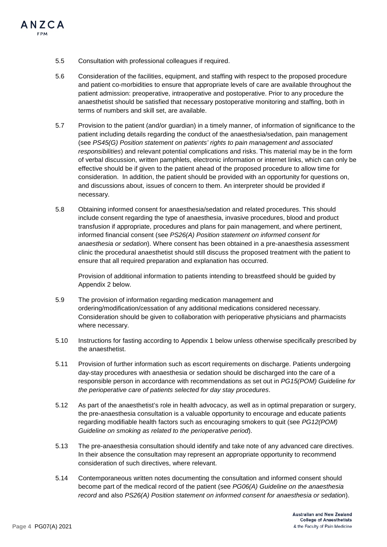

- 5.5 Consultation with professional colleagues if required.
- 5.6 Consideration of the facilities, equipment, and staffing with respect to the proposed procedure and patient co-morbidities to ensure that appropriate levels of care are available throughout the patient admission: preoperative, intraoperative and postoperative. Prior to any procedure the anaesthetist should be satisfied that necessary postoperative monitoring and staffing, both in terms of numbers and skill set, are available.
- 5.7 Provision to the patient (and/or guardian) in a timely manner, of information of significance to the patient including details regarding the conduct of the anaesthesia/sedation, pain management (see *PS45(G) Position statement on patients' rights to pain management and associated responsibilities*) and relevant potential complications and risks. This material may be in the form of verbal discussion, written pamphlets, electronic information or internet links, which can only be effective should be if given to the patient ahead of the proposed procedure to allow time for consideration. In addition, the patient should be provided with an opportunity for questions on, and discussions about, issues of concern to them. An interpreter should be provided if necessary.
- 5.8 Obtaining informed consent for anaesthesia/sedation and related procedures. This should include consent regarding the type of anaesthesia, invasive procedures, blood and product transfusion if appropriate, procedures and plans for pain management, and where pertinent, informed financial consent (see *PS26(A) Position statement on informed consent for anaesthesia or sedation*). Where consent has been obtained in a pre-anaesthesia assessment clinic the procedural anaesthetist should still discuss the proposed treatment with the patient to ensure that all required preparation and explanation has occurred.

Provision of additional information to patients intending to breastfeed should be guided by Appendix 2 below.

- 5.9 The provision of information regarding medication management and ordering/modification/cessation of any additional medications considered necessary. Consideration should be given to collaboration with perioperative physicians and pharmacists where necessary.
- 5.10 Instructions for fasting according to Appendix 1 below unless otherwise specifically prescribed by the anaesthetist.
- 5.11 Provision of further information such as escort requirements on discharge. Patients undergoing day-stay procedures with anaesthesia or sedation should be discharged into the care of a responsible person in accordance with recommendations as set out in *PG15(POM) Guideline for the perioperative care of patients selected for day stay procedures*.
- 5.12 As part of the anaesthetist's role in health advocacy, as well as in optimal preparation or surgery, the pre-anaesthesia consultation is a valuable opportunity to encourage and educate patients regarding modifiable health factors such as encouraging smokers to quit (see *PG12(POM) Guideline on smoking as related to the perioperative period*).
- 5.13 The pre-anaesthesia consultation should identify and take note of any advanced care directives. In their absence the consultation may represent an appropriate opportunity to recommend consideration of such directives, where relevant.
- 5.14 Contemporaneous written notes documenting the consultation and informed consent should become part of the medical record of the patient (see *PG06(A) Guideline on the anaesthesia record* and also *PS26(A) Position statement on informed consent for anaesthesia or sedation*).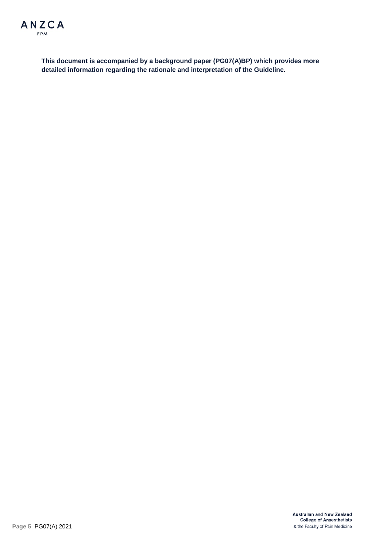

**This document is accompanied by a background paper (PG07(A)BP) which provides more detailed information regarding the rationale and interpretation of the Guideline.**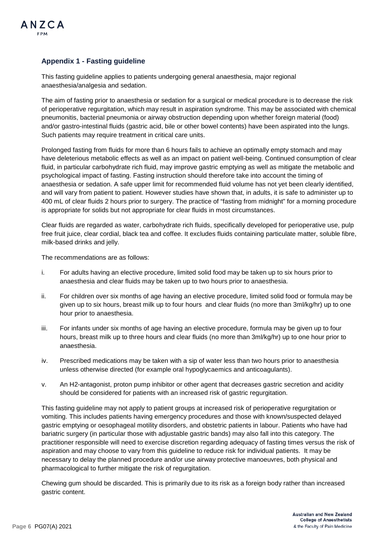

## **Appendix 1 - Fasting guideline**

This fasting guideline applies to patients undergoing general anaesthesia, major regional anaesthesia/analgesia and sedation.

The aim of fasting prior to anaesthesia or sedation for a surgical or medical procedure is to decrease the risk of perioperative regurgitation, which may result in aspiration syndrome. This may be associated with chemical pneumonitis, bacterial pneumonia or airway obstruction depending upon whether foreign material (food) and/or gastro-intestinal fluids (gastric acid, bile or other bowel contents) have been aspirated into the lungs. Such patients may require treatment in critical care units.

Prolonged fasting from fluids for more than 6 hours fails to achieve an optimally empty stomach and may have deleterious metabolic effects as well as an impact on patient well-being. Continued consumption of clear fluid, in particular carbohydrate rich fluid, may improve gastric emptying as well as mitigate the metabolic and psychological impact of fasting. Fasting instruction should therefore take into account the timing of anaesthesia or sedation. A safe upper limit for recommended fluid volume has not yet been clearly identified, and will vary from patient to patient. However studies have shown that, in adults, it is safe to administer up to 400 mL of clear fluids 2 hours prior to surgery. The practice of "fasting from midnight" for a morning procedure is appropriate for solids but not appropriate for clear fluids in most circumstances.

Clear fluids are regarded as water, carbohydrate rich fluids, specifically developed for perioperative use, pulp free fruit juice, clear cordial, black tea and coffee. It excludes fluids containing particulate matter, soluble fibre, milk-based drinks and jelly.

The recommendations are as follows:

- i. For adults having an elective procedure, limited solid food may be taken up to six hours prior to anaesthesia and clear fluids may be taken up to two hours prior to anaesthesia.
- ii. For children over six months of age having an elective procedure, limited solid food or formula may be given up to six hours, breast milk up to four hours and clear fluids (no more than 3ml/kg/hr) up to one hour prior to anaesthesia.
- iii. For infants under six months of age having an elective procedure, formula may be given up to four hours, breast milk up to three hours and clear fluids (no more than 3ml/kg/hr) up to one hour prior to anaesthesia.
- iv. Prescribed medications may be taken with a sip of water less than two hours prior to anaesthesia unless otherwise directed (for example oral hypoglycaemics and anticoagulants).
- v. An H2-antagonist, proton pump inhibitor or other agent that decreases gastric secretion and acidity should be considered for patients with an increased risk of gastric regurgitation.

This fasting guideline may not apply to patient groups at increased risk of perioperative regurgitation or vomiting. This includes patients having emergency procedures and those with known/suspected delayed gastric emptying or oesophageal motility disorders, and obstetric patients in labour. Patients who have had bariatric surgery (in particular those with adjustable gastric bands) may also fall into this category. The practitioner responsible will need to exercise discretion regarding adequacy of fasting times versus the risk of aspiration and may choose to vary from this guideline to reduce risk for individual patients. It may be necessary to delay the planned procedure and/or use airway protective manoeuvres, both physical and pharmacological to further mitigate the risk of regurgitation.

Chewing gum should be discarded. This is primarily due to its risk as a foreign body rather than increased gastric content.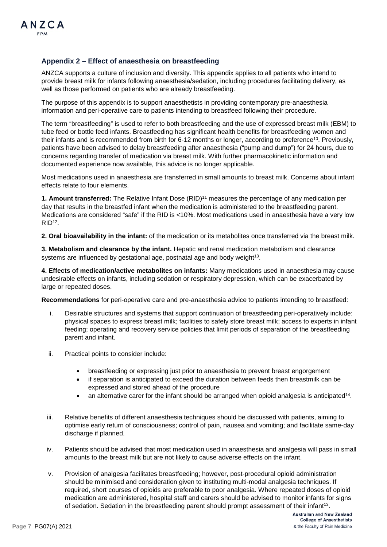## **Appendix 2 – Effect of anaesthesia on breastfeeding**

ANZCA supports a culture of inclusion and diversity. This appendix applies to all patients who intend to provide breast milk for infants following anaesthesia/sedation, including procedures facilitating delivery, as well as those performed on patients who are already breastfeeding.

The purpose of this appendix is to support anaesthetists in providing contemporary pre-anaesthesia information and peri-operative care to patients intending to breastfeed following their procedure.

The term "breastfeeding" is used to refer to both breastfeeding and the use of expressed breast milk (EBM) to tube feed or bottle feed infants. Breastfeeding has significant health benefits for breastfeeding women and their infants and is recommended from birth for 6-12 months or longer, according to preference<sup>10</sup>. Previously, patients have been advised to delay breastfeeding after anaesthesia ("pump and dump") for 24 hours, due to concerns regarding transfer of medication via breast milk. With further pharmacokinetic information and documented experience now available, this advice is no longer applicable.

Most medications used in anaesthesia are transferred in small amounts to breast milk. Concerns about infant effects relate to four elements.

**1. Amount transferred:** The Relative Infant Dose (RID)11 measures the percentage of any medication per day that results in the breastfed infant when the medication is administered to the breastfeeding parent. Medications are considered "safe" if the RID is <10%. Most medications used in anaesthesia have a very low  $RID<sup>12</sup>$ .

**2. Oral bioavailability in the infant:** of the medication or its metabolites once transferred via the breast milk.

**3. Metabolism and clearance by the infant.** Hepatic and renal medication metabolism and clearance systems are influenced by gestational age, postnatal age and body weight $13$ .

**4. Effects of medication/active metabolites on infants:** Many medications used in anaesthesia may cause undesirable effects on infants, including sedation or respiratory depression, which can be exacerbated by large or repeated doses.

**Recommendations** for peri-operative care and pre-anaesthesia advice to patients intending to breastfeed:

- i. Desirable structures and systems that support continuation of breastfeeding peri-operatively include: physical spaces to express breast milk; facilities to safely store breast milk; access to experts in infant feeding; operating and recovery service policies that limit periods of separation of the breastfeeding parent and infant.
- ii. Practical points to consider include:
	- breastfeeding or expressing just prior to anaesthesia to prevent breast engorgement
	- if separation is anticipated to exceed the duration between feeds then breastmilk can be expressed and stored ahead of the procedure
	- an alternative carer for the infant should be arranged when opioid analgesia is anticipated14.
- iii. Relative benefits of different anaesthesia techniques should be discussed with patients, aiming to optimise early return of consciousness; control of pain, nausea and vomiting; and facilitate same-day discharge if planned.
- iv. Patients should be advised that most medication used in anaesthesia and analgesia will pass in small amounts to the breast milk but are not likely to cause adverse effects on the infant.
- v. Provision of analgesia facilitates breastfeeding; however, post-procedural opioid administration should be minimised and consideration given to instituting multi-modal analgesia techniques. If required, short courses of opioids are preferable to poor analgesia. Where repeated doses of opioid medication are administered, hospital staff and carers should be advised to monitor infants for signs of sedation. Sedation in the breastfeeding parent should prompt assessment of their infant13.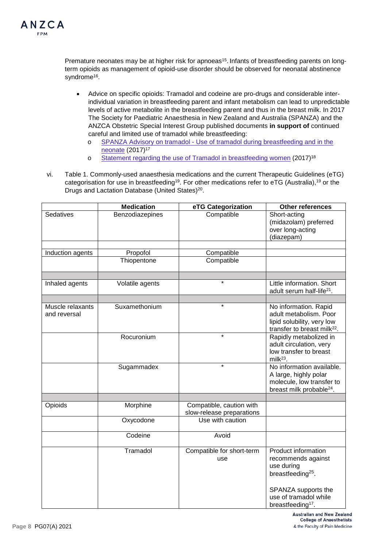Premature neonates may be at higher risk for apnoeas<sup>15</sup>. Infants of breastfeeding parents on longterm opioids as management of opioid-use disorder should be observed for neonatal abstinence syndrome<sup>16</sup>.

- Advice on specific opioids: Tramadol and codeine are pro-drugs and considerable interindividual variation in breastfeeding parent and infant metabolism can lead to unpredictable levels of active metabolite in the breastfeeding parent and thus in the breast milk. In 2017 The Society for Paediatric Anaesthesia in New Zealand and Australia (SPANZA) and the ANZCA Obstetric Special Interest Group published documents **in support of** continued careful and limited use of tramadol while breastfeeding:
	- o SPANZA Advisory on tramadol [Use of tramadol during breastfeeding and in the](https://d311i5pe49swog.cloudfront.net/web-assets/spanza/assets/uploads/2018/06/05163338/SPANZAbreastfeedresponse.pdf)  [neonate](https://d311i5pe49swog.cloudfront.net/web-assets/spanza/assets/uploads/2018/06/05163338/SPANZAbreastfeedresponse.pdf) (2017)17
	- o [Statement regarding the use of Tramadol in breastfeeding women](https://libguides.anzca.edu.au/ld.php?content_id=48310239) (2017)18
- vi. Table 1. Commonly-used anaesthesia medications and the current Therapeutic Guidelines (eTG) categorisation for use in breastfeeding<sup>19</sup>. For other medications refer to eTG (Australia),<sup>19</sup> or the Drugs and Lactation Database (United States)<sup>20</sup>.

|                                  | <b>Medication</b> | eTG Categorization                                    | Other references                                                                                                                                                          |
|----------------------------------|-------------------|-------------------------------------------------------|---------------------------------------------------------------------------------------------------------------------------------------------------------------------------|
| Sedatives                        | Benzodiazepines   | Compatible                                            | Short-acting<br>(midazolam) preferred<br>over long-acting<br>(diazepam)                                                                                                   |
| Induction agents                 | Propofol          | Compatible                                            |                                                                                                                                                                           |
|                                  | Thiopentone       | Compatible                                            |                                                                                                                                                                           |
|                                  |                   |                                                       |                                                                                                                                                                           |
| Inhaled agents                   | Volatile agents   | $\star$                                               | Little information. Short<br>adult serum half-life <sup>21</sup> .                                                                                                        |
| Muscle relaxants<br>and reversal | Suxamethonium     | $\star$                                               | No information. Rapid<br>adult metabolism. Poor<br>lipid solubility, very low<br>transfer to breast milk <sup>22</sup> .                                                  |
|                                  | Rocuronium        | $\star$                                               | Rapidly metabolized in<br>adult circulation, very<br>low transfer to breast<br>milk $^{23}$ .                                                                             |
|                                  | Sugammadex        | $\star$                                               | No information available.<br>A large, highly polar<br>molecule, low transfer to<br>breast milk probable <sup>24</sup> .                                                   |
|                                  |                   |                                                       |                                                                                                                                                                           |
| Opioids                          | Morphine          | Compatible, caution with<br>slow-release preparations |                                                                                                                                                                           |
|                                  | Oxycodone         | Use with caution                                      |                                                                                                                                                                           |
|                                  | Codeine           | Avoid                                                 |                                                                                                                                                                           |
|                                  | Tramadol          | Compatible for short-term<br>use                      | Product information<br>recommends against<br>use during<br>breastfeeding <sup>25</sup> .<br>SPANZA supports the<br>use of tramadol while<br>breastfeeding <sup>17</sup> . |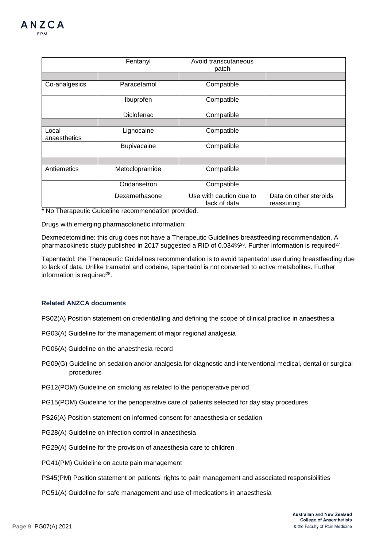|                       | Fentanyl       | Avoid transcutaneous<br>patch           |                                      |
|-----------------------|----------------|-----------------------------------------|--------------------------------------|
|                       |                |                                         |                                      |
| Co-analgesics         | Paracetamol    | Compatible                              |                                      |
|                       | Ibuprofen      | Compatible                              |                                      |
|                       | Diclofenac     | Compatible                              |                                      |
|                       |                |                                         |                                      |
| Local<br>anaesthetics | Lignocaine     | Compatible                              |                                      |
|                       | Bupivacaine    | Compatible                              |                                      |
|                       |                |                                         |                                      |
| Antiemetics           | Metoclopramide | Compatible                              |                                      |
|                       | Ondansetron    | Compatible                              |                                      |
|                       | Dexamethasone  | Use with caution due to<br>lack of data | Data on other steroids<br>reassuring |

\* No Therapeutic Guideline recommendation provided.

Drugs with emerging pharmacokinetic information:

Dexmedetomidine: this drug does not have a Therapeutic Guidelines breastfeeding recommendation. A pharmacokinetic study published in 2017 suggested a RID of 0.034%<sup>26</sup>. Further information is required<sup>27</sup>.

Tapentadol: the Therapeutic Guidelines recommendation is to avoid tapentadol use during breastfeeding due to lack of data. Unlike tramadol and codeine, tapentadol is not converted to active metabolites. Further information is required<sup>28</sup>.

### **Related ANZCA documents**

PS02(A) Position statement on credentialling and defining the scope of clinical practice in anaesthesia

PG03(A) Guideline for the management of major regional analgesia

PG06(A) Guideline on the anaesthesia record

PG09(G) Guideline on sedation and/or analgesia for diagnostic and interventional medical, dental or surgical procedures

PG12(POM) Guideline on smoking as related to the perioperative period

PG15(POM) Guideline for the perioperative care of patients selected for day stay procedures

PS26(A) Position statement on informed consent for anaesthesia or sedation

PG28(A) Guideline on infection control in anaesthesia

PG29(A) Guideline for the provision of anaesthesia care to children

PG41(PM) Guideline on acute pain management

- PS45(PM) Position statement on patients' rights to pain management and associated responsibilities
- PG51(A) Guideline for safe management and use of medications in anaesthesia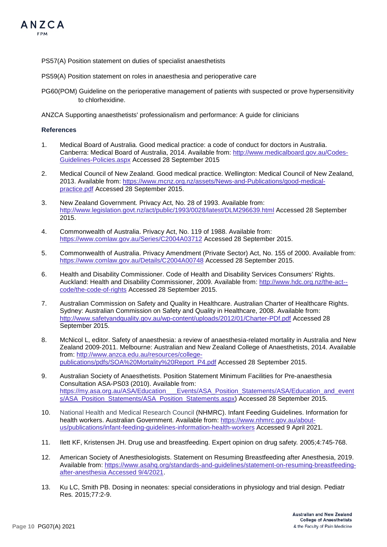

- PS57(A) Position statement on duties of specialist anaesthetists
- PS59(A) Position statement on roles in anaesthesia and perioperative care
- PG60(POM) Guideline on the perioperative management of patients with suspected or prove hypersensitivity to chlorhexidine.

ANZCA Supporting anaesthetists' professionalism and performance: A guide for clinicians

#### **References**

- 1. Medical Board of Australia. Good medical practice: a code of conduct for doctors in Australia. Canberra: Medical Board of Australia, 2014. Available from: [http://www.medicalboard.gov.au/Codes-](http://www.medicalboard.gov.au/Codes-Guidelines-Policies.aspx)[Guidelines-Policies.aspx](http://www.medicalboard.gov.au/Codes-Guidelines-Policies.aspx) Accessed 28 September 2015
- 2. Medical Council of New Zealand. Good medical practice. Wellington: Medical Council of New Zealand, 2013. Available from: [https://www.mcnz.org.nz/assets/News-and-Publications/good-medical](https://www.mcnz.org.nz/assets/News-and-Publications/good-medical-practice.pdf)[practice.pdf](https://www.mcnz.org.nz/assets/News-and-Publications/good-medical-practice.pdf) Accessed 28 September 2015.
- 3. New Zealand Government. Privacy Act, No. 28 of 1993. Available from: <http://www.legislation.govt.nz/act/public/1993/0028/latest/DLM296639.html> Accessed 28 September 2015.
- 4. Commonwealth of Australia. Privacy Act, No. 119 of 1988. Available from: <https://www.comlaw.gov.au/Series/C2004A03712> Accessed 28 September 2015.
- 5. Commonwealth of Australia. Privacy Amendment (Private Sector) Act, No. 155 of 2000. Available from: <https://www.comlaw.gov.au/Details/C2004A00748> Accessed 28 September 2015.
- 6. Health and Disability Commissioner. Code of Health and Disability Services Consumers' Rights. Auckland: Health and Disability Commissioner, 2009. Available from: [http://www.hdc.org.nz/the-act-](http://www.hdc.org.nz/the-act--code/the-code-of-rights) [code/the-code-of-rights](http://www.hdc.org.nz/the-act--code/the-code-of-rights) Accessed 28 September 2015.
- 7. Australian Commission on Safety and Quality in Healthcare. Australian Charter of Healthcare Rights. Sydney: Australian Commission on Safety and Quality in Healthcare, 2008. Available from: <http://www.safetyandquality.gov.au/wp-content/uploads/2012/01/Charter-PDf.pdf> Accessed 28 September 2015.
- 8. McNicol L, editor. Safety of anaesthesia: a review of anaesthesia-related mortality in Australia and New Zealand 2009-2011. Melbourne: Australian and New Zealand College of Anaesthetists, 2014. Available from[: http://www.anzca.edu.au/resources/college](http://www.anzca.edu.au/resources/college-publications/pdfs/SOA%20Mortality%20Report_P4.pdf)[publications/pdfs/SOA%20Mortality%20Report\\_P4.pdf](http://www.anzca.edu.au/resources/college-publications/pdfs/SOA%20Mortality%20Report_P4.pdf) Accessed 28 September 2015.
- 9. Australian Society of Anaesthetists. Position Statement Minimum Facilities for Pre-anaesthesia Consultation ASA-PS03 (2010). Available from: [https://my.asa.org.au/ASA/Education\\_\\_\\_Events/ASA\\_Position\\_Statements/ASA/Education\\_and\\_event](https://my.asa.org.au/ASA/Education___Events/ASA_Position_Statements/ASA/Education_and_events/ASA_Position_Statements/ASA_Position_Statements.aspx) [s/ASA\\_Position\\_Statements/ASA\\_Position\\_Statements.aspx\)](https://my.asa.org.au/ASA/Education___Events/ASA_Position_Statements/ASA/Education_and_events/ASA_Position_Statements/ASA_Position_Statements.aspx) Accessed 28 September 2015.
- 10. National Health and Medical Research Council (NHMRC). Infant Feeding Guidelines. Information for health workers. Australian Government. Available from: [https://www.nhmrc.gov.au/about](https://www.nhmrc.gov.au/about-us/publications/infant-feeding-guidelines-information-health-workers)[us/publications/infant-feeding-guidelines-information-health-workers](https://www.nhmrc.gov.au/about-us/publications/infant-feeding-guidelines-information-health-workers) Accessed 9 April 2021.
- 11. Ilett KF, Kristensen JH. Drug use and breastfeeding. Expert opinion on drug safety*.* 2005;4:745-768.
- 12. American Society of Anesthesiologists. Statement on Resuming Breastfeeding after Anesthesia, 2019. Available from: [https://www.asahq.org/standards-and-guidelines/statement-on-resuming-breastfeeding](https://www.asahq.org/standards-and-guidelines/statement-on-resuming-breastfeeding-after-anesthesia%20Accessed%209/4/2021)[after-anesthesia Accessed 9/4/2021.](https://www.asahq.org/standards-and-guidelines/statement-on-resuming-breastfeeding-after-anesthesia%20Accessed%209/4/2021)
- 13. Ku LC, Smith PB. Dosing in neonates: special considerations in physiology and trial design. Pediatr Res*.* 2015;77:2-9.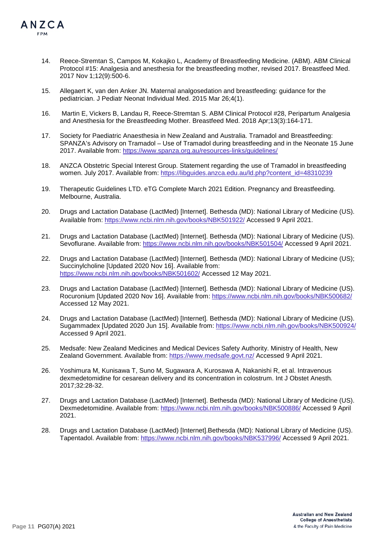

- 14. Reece-Stremtan S, Campos M, Kokajko L, Academy of Breastfeeding Medicine. (ABM). ABM Clinical Protocol #15: Analgesia and anesthesia for the breastfeeding mother, revised 2017. Breastfeed Med. 2017 Nov 1;12(9):500-6.
- 15. Allegaert K, van den Anker JN. Maternal analgosedation and breastfeeding: guidance for the pediatrician. J Pediatr Neonat Individual Med. 2015 Mar 26;4(1).
- 16. Martin E, Vickers B, Landau R, Reece-Stremtan S. ABM Clinical Protocol #28, Peripartum Analgesia and Anesthesia for the Breastfeeding Mother. Breastfeed Med. 2018 Apr;13(3):164-171.
- 17. Society for Paediatric Anaesthesia in New Zealand and Australia. Tramadol and Breastfeeding: SPANZA's Advisory on Tramadol – Use of Tramadol during breastfeeding and in the Neonate 15 June 2017. Available from: <https://www.spanza.org.au/resources-links/guidelines/>
- 18. ANZCA Obstetric Special Interest Group. Statement regarding the use of Tramadol in breastfeeding women. July 2017. Available from: [https://libguides.anzca.edu.au/ld.php?content\\_id=48310239](https://libguides.anzca.edu.au/ld.php?content_id=48310239)
- 19. Therapeutic Guidelines LTD. eTG Complete March 2021 Edition. Pregnancy and Breastfeeding. Melbourne, Australia.
- 20. Drugs and Lactation Database (LactMed) [Internet]. Bethesda (MD): National Library of Medicine (US). Available from:<https://www.ncbi.nlm.nih.gov/books/NBK501922/> Accessed 9 April 2021.
- 21. Drugs and Lactation Database (LactMed) [Internet]. Bethesda (MD): National Library of Medicine (US). Sevoflurane. Available from:<https://www.ncbi.nlm.nih.gov/books/NBK501504/> Accessed 9 April 2021.
- 22. Drugs and Lactation Database (LactMed) [Internet]. Bethesda (MD): National Library of Medicine (US); Succinylcholine [Updated 2020 Nov 16]. Available from: <https://www.ncbi.nlm.nih.gov/books/NBK501602/> Accessed 12 May 2021.
- 23. Drugs and Lactation Database (LactMed) [Internet]. Bethesda (MD): National Library of Medicine (US). Rocuronium [Updated 2020 Nov 16]. Available from:<https://www.ncbi.nlm.nih.gov/books/NBK500682/> Accessed 12 May 2021.
- 24. Drugs and Lactation Database (LactMed) [Internet]. Bethesda (MD): National Library of Medicine (US). Sugammadex [Updated 2020 Jun 15]. Available from:<https://www.ncbi.nlm.nih.gov/books/NBK500924/> Accessed 9 April 2021.
- 25. Medsafe: New Zealand Medicines and Medical Devices Safety Authority. Ministry of Health, New Zealand Government. Available from:<https://www.medsafe.govt.nz/> Accessed 9 April 2021.
- 26. Yoshimura M, Kunisawa T, Suno M, Sugawara A, Kurosawa A, Nakanishi R, et al. Intravenous dexmedetomidine for cesarean delivery and its concentration in colostrum. Int J Obstet Anesth*.* 2017;32:28-32.
- 27. Drugs and Lactation Database (LactMed) [Internet]. Bethesda (MD): National Library of Medicine (US). Dexmedetomidine. Available from:<https://www.ncbi.nlm.nih.gov/books/NBK500886/> Accessed 9 April 2021.
- 28. Drugs and Lactation Database (LactMed) [Internet].Bethesda (MD): National Library of Medicine (US). Tapentadol. Available from:<https://www.ncbi.nlm.nih.gov/books/NBK537996/> Accessed 9 April 2021.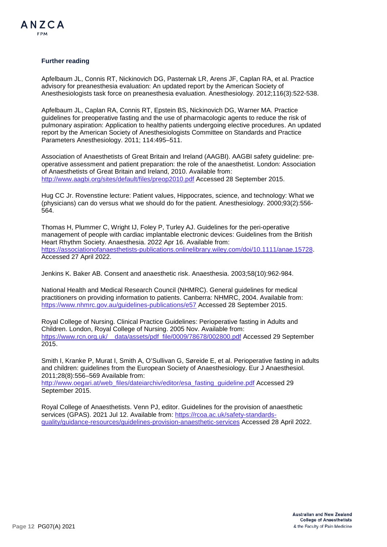

#### **Further reading**

Apfelbaum JL, Connis RT, Nickinovich DG, Pasternak LR, Arens JF, Caplan RA, et al. Practice advisory for preanesthesia evaluation: An updated report by the American Society of Anesthesiologists task force on preanesthesia evaluation. Anesthesiology. 2012;116(3):522-538.

Apfelbaum JL, Caplan RA, Connis RT, Epstein BS, Nickinovich DG, Warner MA. Practice guidelines for preoperative fasting and the use of pharmacologic agents to reduce the risk of pulmonary aspiration: Application to healthy patients undergoing elective procedures. An updated report by the American Society of Anesthesiologists Committee on Standards and Practice Parameters Anesthesiology. 2011; 114:495–511.

Association of Anaesthetists of Great Britain and Ireland (AAGBI). AAGBI safety guideline: preoperative assessment and patient preparation: the role of the anaesthetist. London: Association of Anaesthetists of Great Britain and Ireland, 2010. Available from: <http://www.aagbi.org/sites/default/files/preop2010.pdf> Accessed 28 September 2015.

Hug CC Jr. Rovenstine lecture: Patient values, Hippocrates, science, and technology: What we (physicians) can do versus what we should do for the patient. Anesthesiology. 2000;93(2):556- 564.

Thomas H, Plummer C, Wright IJ, Foley P, Turley AJ. Guidelines for the peri-operative management of people with cardiac implantable electronic devices: Guidelines from the British Heart Rhythm Society. Anaesthesia. 2022 Apr 16. Available from: [https://associationofanaesthetists-publications.onlinelibrary.wiley.com/doi/10.1111/anae.15728.](https://associationofanaesthetists-publications.onlinelibrary.wiley.com/doi/10.1111/anae.15728) Accessed 27 April 2022.

Jenkins K. Baker AB. Consent and anaesthetic risk. Anaesthesia. 2003;58(10):962-984.

National Health and Medical Research Council (NHMRC). General guidelines for medical practitioners on providing information to patients. Canberra: NHMRC, 2004. Available from: <https://www.nhmrc.gov.au/guidelines-publications/e57> Accessed 28 September 2015.

Royal College of Nursing. Clinical Practice Guidelines: Perioperative fasting in Adults and Children. London, Royal College of Nursing. 2005 Nov. Available from: https://www.rcn.org.uk/ data/assets/pdf file/0009/78678/002800.pdf Accessed 29 September 2015.

Smith I, Kranke P, Murat I, Smith A, O'Sullivan G, Søreide E, et al. Perioperative fasting in adults and children: guidelines from the European Society of Anaesthesiology. Eur J Anaesthesiol. 2011;28(8):556–569 Available from:

[http://www.oegari.at/web\\_files/dateiarchiv/editor/esa\\_fasting\\_guideline.pdf](http://www.oegari.at/web_files/dateiarchiv/editor/esa_fasting_guideline.pdf) Accessed 29 September 2015.

Royal College of Anaesthetists. Venn PJ, editor. Guidelines for the provision of anaesthetic services (GPAS). 2021 Jul 12. Available from: [https://rcoa.ac.uk/safety-standards](https://rcoa.ac.uk/safety-standards-quality/guidance-resources/guidelines-provision-anaesthetic-services)[quality/guidance-resources/guidelines-provision-anaesthetic-services](https://rcoa.ac.uk/safety-standards-quality/guidance-resources/guidelines-provision-anaesthetic-services) Accessed 28 April 2022.